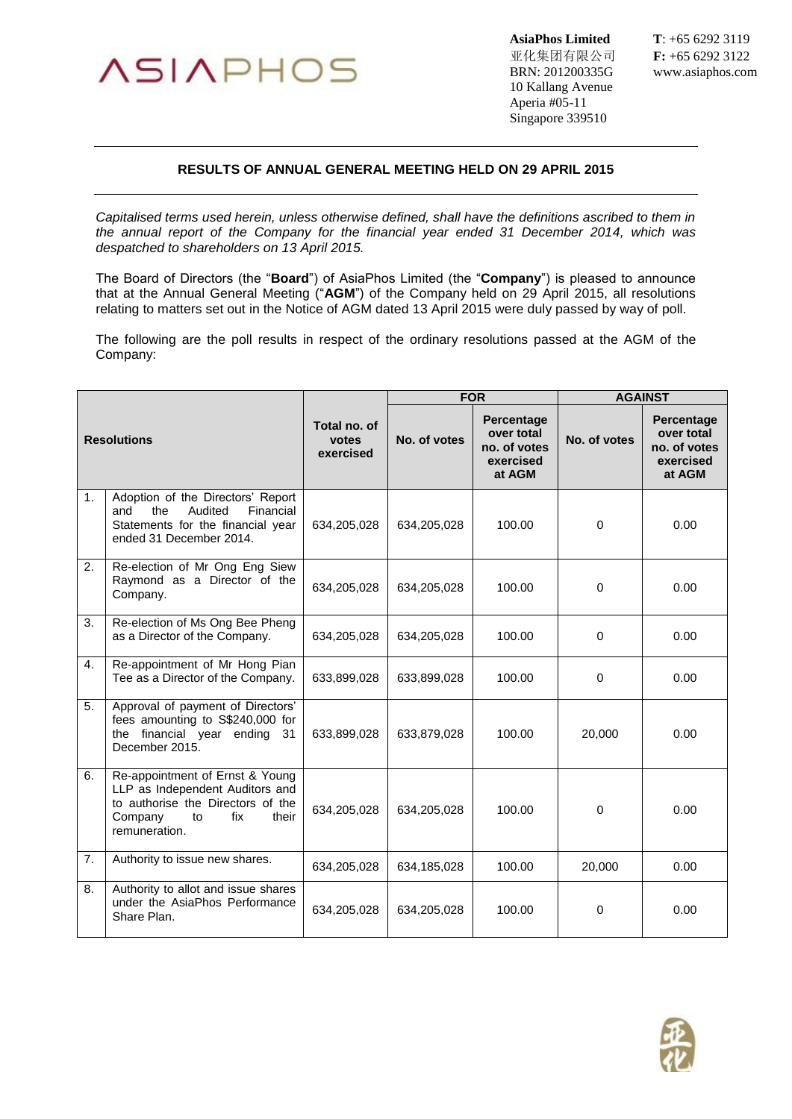

亚化集团有限公司 **F:** +65 6292 3122 BRN: 201200335G www.asiaphos.com 10 Kallang Avenue Aperia #05-11 Singapore 339510

**AsiaPhos Limited T**: +65 6292 3119

## **RESULTS OF ANNUAL GENERAL MEETING HELD ON 29 APRIL 2015**

*Capitalised terms used herein, unless otherwise defined, shall have the definitions ascribed to them in the annual report of the Company for the financial year ended 31 December 2014, which was despatched to shareholders on 13 April 2015.*

The Board of Directors (the "**Board**") of AsiaPhos Limited (the "**Company**") is pleased to announce that at the Annual General Meeting ("**AGM**") of the Company held on 29 April 2015, all resolutions relating to matters set out in the Notice of AGM dated 13 April 2015 were duly passed by way of poll.

The following are the poll results in respect of the ordinary resolutions passed at the AGM of the Company:

| <b>Resolutions</b> |                                                                                                                                                           |                                    | <b>FOR</b>   |                                                                 | <b>AGAINST</b> |                                                                 |
|--------------------|-----------------------------------------------------------------------------------------------------------------------------------------------------------|------------------------------------|--------------|-----------------------------------------------------------------|----------------|-----------------------------------------------------------------|
|                    |                                                                                                                                                           | Total no. of<br>votes<br>exercised | No. of votes | Percentage<br>over total<br>no. of votes<br>exercised<br>at AGM | No. of votes   | Percentage<br>over total<br>no. of votes<br>exercised<br>at AGM |
| 1.                 | Adoption of the Directors' Report<br>Audited<br>Financial<br>and<br>the<br>Statements for the financial year<br>ended 31 December 2014.                   | 634,205,028                        | 634,205,028  | 100.00                                                          | $\mathbf 0$    | 0.00                                                            |
| 2.                 | Re-election of Mr Ong Eng Siew<br>Raymond as a Director of the<br>Company.                                                                                | 634,205,028                        | 634,205,028  | 100.00                                                          | $\Omega$       | 0.00                                                            |
| 3.                 | Re-election of Ms Ong Bee Pheng<br>as a Director of the Company.                                                                                          | 634,205,028                        | 634,205,028  | 100.00                                                          | $\Omega$       | 0.00                                                            |
| 4.                 | Re-appointment of Mr Hong Pian<br>Tee as a Director of the Company.                                                                                       | 633,899,028                        | 633,899,028  | 100.00                                                          | $\Omega$       | 0.00                                                            |
| 5.                 | Approval of payment of Directors'<br>fees amounting to S\$240,000 for<br>the financial year ending<br>31<br>December 2015.                                | 633,899,028                        | 633,879,028  | 100.00                                                          | 20,000         | 0.00                                                            |
| 6.                 | Re-appointment of Ernst & Young<br>LLP as Independent Auditors and<br>to authorise the Directors of the<br>Company<br>fix<br>their<br>to<br>remuneration. | 634,205,028                        | 634,205,028  | 100.00                                                          | 0              | 0.00                                                            |
| 7.                 | Authority to issue new shares.                                                                                                                            | 634,205,028                        | 634,185,028  | 100.00                                                          | 20,000         | 0.00                                                            |
| 8.                 | Authority to allot and issue shares<br>under the AsiaPhos Performance<br>Share Plan.                                                                      | 634,205,028                        | 634,205,028  | 100.00                                                          | $\mathbf 0$    | 0.00                                                            |